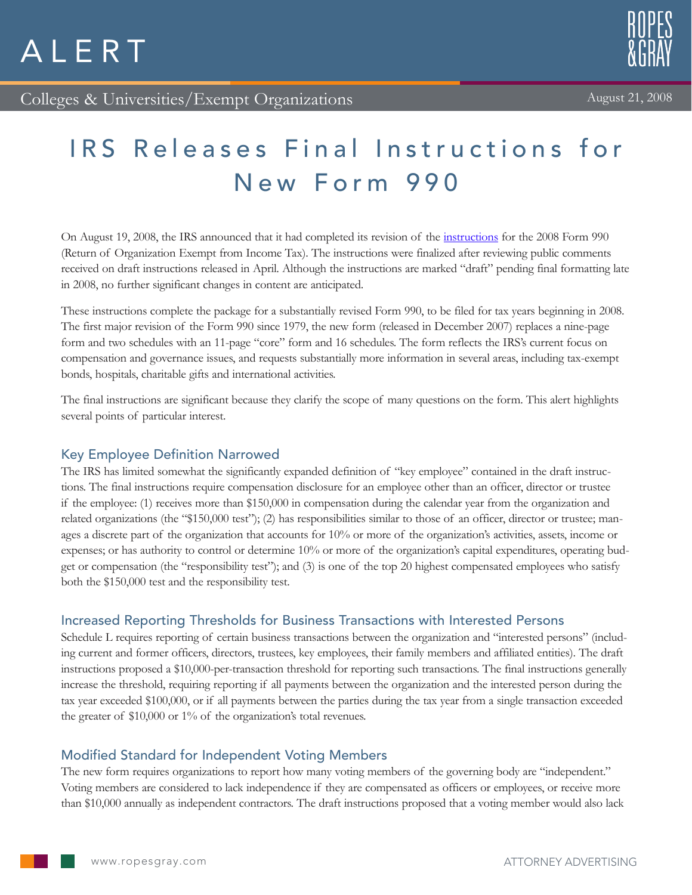



# IRS Releases Final Instructions for New Form 990

On August 19, 2008, the IRS announced that it had completed its revision of the [instructions](http://www.irs.gov/charities/article/0,,id=185561,00.html) for the 2008 Form 990 (Return of Organization Exempt from Income Tax). The instructions were finalized after reviewing public comments received on draft instructions released in April. Although the instructions are marked "draft" pending final formatting late in 2008, no further significant changes in content are anticipated.

These instructions complete the package for a substantially revised Form 990, to be filed for tax years beginning in 2008. The first major revision of the Form 990 since 1979, the new form (released in December 2007) replaces a nine-page form and two schedules with an 11-page "core" form and 16 schedules. The form reflects the IRS's current focus on compensation and governance issues, and requests substantially more information in several areas, including tax-exempt bonds, hospitals, charitable gifts and international activities.

The final instructions are significant because they clarify the scope of many questions on the form. This alert highlights several points of particular interest.

## Key Employee Definition Narrowed

The IRS has limited somewhat the significantly expanded definition of "key employee" contained in the draft instructions. The final instructions require compensation disclosure for an employee other than an officer, director or trustee if the employee: (1) receives more than \$150,000 in compensation during the calendar year from the organization and related organizations (the "\$150,000 test"); (2) has responsibilities similar to those of an officer, director or trustee; manages a discrete part of the organization that accounts for 10% or more of the organization's activities, assets, income or expenses; or has authority to control or determine 10% or more of the organization's capital expenditures, operating budget or compensation (the "responsibility test"); and (3) is one of the top 20 highest compensated employees who satisfy both the \$150,000 test and the responsibility test.

# Increased Reporting Thresholds for Business Transactions with Interested Persons

Schedule L requires reporting of certain business transactions between the organization and "interested persons" (including current and former officers, directors, trustees, key employees, their family members and affiliated entities). The draft instructions proposed a \$10,000-per-transaction threshold for reporting such transactions. The final instructions generally increase the threshold, requiring reporting if all payments between the organization and the interested person during the tax year exceeded \$100,000, or if all payments between the parties during the tax year from a single transaction exceeded the greater of \$10,000 or 1% of the organization's total revenues.

# Modified Standard for Independent Voting Members

The new form requires organizations to report how many voting members of the governing body are "independent." Voting members are considered to lack independence if they are compensated as officers or employees, or receive more than \$10,000 annually as independent contractors. The draft instructions proposed that a voting member would also lack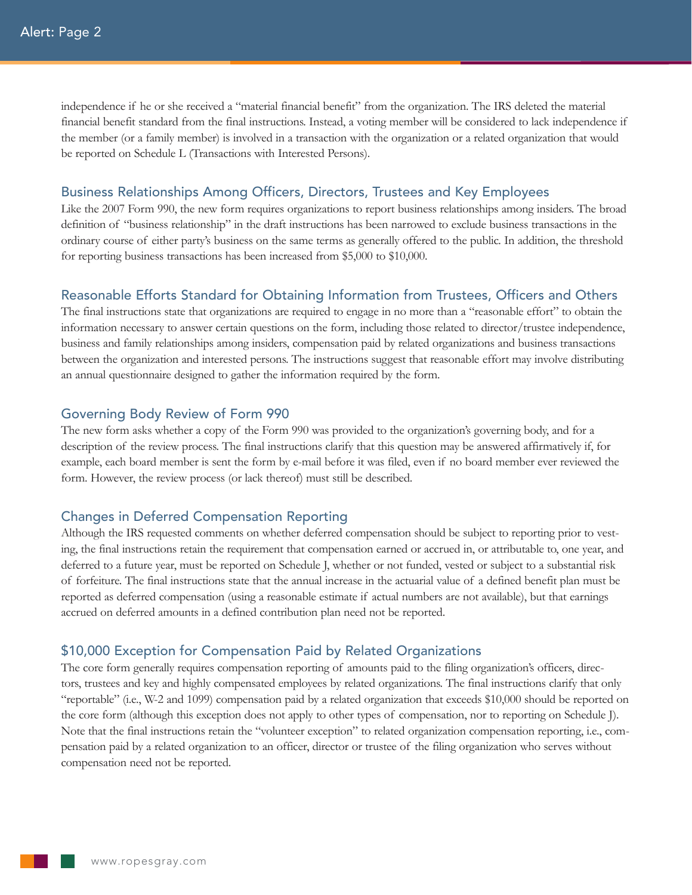independence if he or she received a "material financial benefit" from the organization. The IRS deleted the material financial benefit standard from the final instructions. Instead, a voting member will be considered to lack independence if the member (or a family member) is involved in a transaction with the organization or a related organization that would be reported on Schedule L (Transactions with Interested Persons).

#### Business Relationships Among Officers, Directors, Trustees and Key Employees

Like the 2007 Form 990, the new form requires organizations to report business relationships among insiders. The broad definition of "business relationship" in the draft instructions has been narrowed to exclude business transactions in the ordinary course of either party's business on the same terms as generally offered to the public. In addition, the threshold for reporting business transactions has been increased from \$5,000 to \$10,000.

#### Reasonable Efforts Standard for Obtaining Information from Trustees, Officers and Others

The final instructions state that organizations are required to engage in no more than a "reasonable effort" to obtain the information necessary to answer certain questions on the form, including those related to director/trustee independence, business and family relationships among insiders, compensation paid by related organizations and business transactions between the organization and interested persons. The instructions suggest that reasonable effort may involve distributing an annual questionnaire designed to gather the information required by the form.

#### Governing Body Review of Form 990

The new form asks whether a copy of the Form 990 was provided to the organization's governing body, and for a description of the review process. The final instructions clarify that this question may be answered affirmatively if, for example, each board member is sent the form by e-mail before it was filed, even if no board member ever reviewed the form. However, the review process (or lack thereof) must still be described.

#### Changes in Deferred Compensation Reporting

Although the IRS requested comments on whether deferred compensation should be subject to reporting prior to vesting, the final instructions retain the requirement that compensation earned or accrued in, or attributable to, one year, and deferred to a future year, must be reported on Schedule J, whether or not funded, vested or subject to a substantial risk of forfeiture. The final instructions state that the annual increase in the actuarial value of a defined benefit plan must be reported as deferred compensation (using a reasonable estimate if actual numbers are not available), but that earnings accrued on deferred amounts in a defined contribution plan need not be reported.

#### \$10,000 Exception for Compensation Paid by Related Organizations

The core form generally requires compensation reporting of amounts paid to the filing organization's officers, directors, trustees and key and highly compensated employees by related organizations. The final instructions clarify that only "reportable" (i.e., W-2 and 1099) compensation paid by a related organization that exceeds \$10,000 should be reported on the core form (although this exception does not apply to other types of compensation, nor to reporting on Schedule J). Note that the final instructions retain the "volunteer exception" to related organization compensation reporting, i.e., compensation paid by a related organization to an officer, director or trustee of the filing organization who serves without compensation need not be reported.